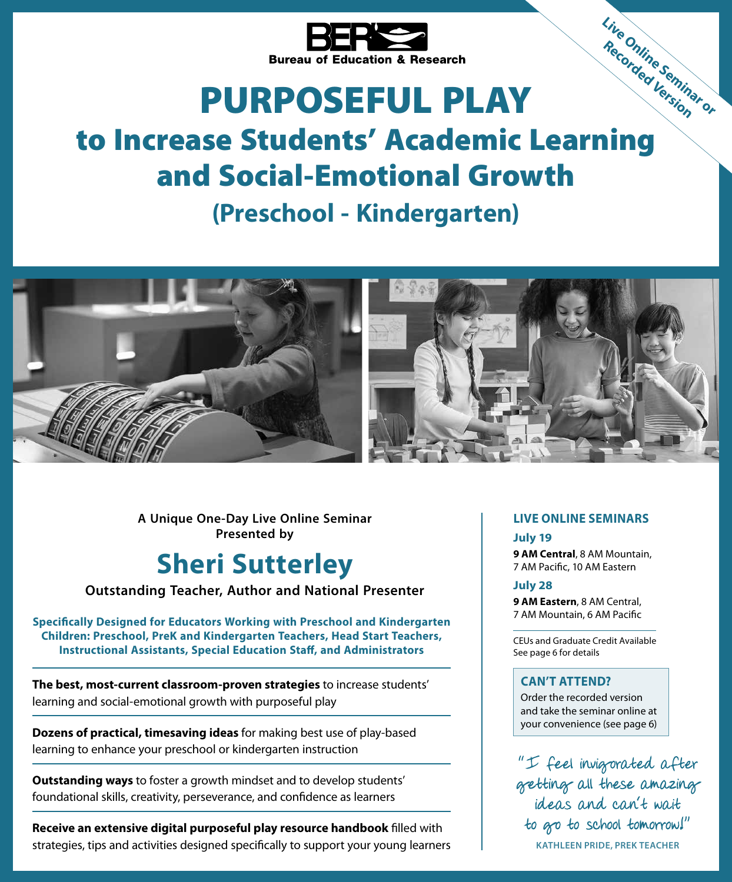

# PURPOSEFUL PLAY

# Bureau of Equipments.<br> **The Increase Students' Academic Learning** and Social-Emotional Growth

# **(Preschool - Kindergarten)**



**A Unique One-Day Live Online Seminar Presented by**

# **Sheri Sutterley**

**Outstanding Teacher, Author and National Presenter**

**Specifically Designed for Educators Working with Preschool and Kindergarten Children: Preschool, PreK and Kindergarten Teachers, Head Start Teachers, Instructional Assistants, Special Education Staff, and Administrators**

**The best, most-current classroom-proven strategies** to increase students' learning and social-emotional growth with purposeful play

**Dozens of practical, timesaving ideas** for making best use of play-based learning to enhance your preschool or kindergarten instruction

**Outstanding ways** to foster a growth mindset and to develop students' foundational skills, creativity, perseverance, and confidence as learners

**Receive an extensive digital purposeful play resource handbook** filled with strategies, tips and activities designed specifically to support your young learners

## **LIVE ONLINE SEMINARS**

**Live Online Seminar or Recorded Version**

**July 19 9 AM Central**, 8 AM Mountain, 7 AM Pacific, 10 AM Eastern

**July 28 9 AM Eastern**, 8 AM Central, 7 AM Mountain, 6 AM Pacific

CEUs and Graduate Credit Available See page 6 for details

## **CAN'T ATTEND?**

Order the recorded version and take the seminar online at your convenience (see page 6)

"I feel invigorated after getting all these amazing ideas and can't wait to go to school tomorrow!" **KATHLEEN PRIDE, PREK TEACHER**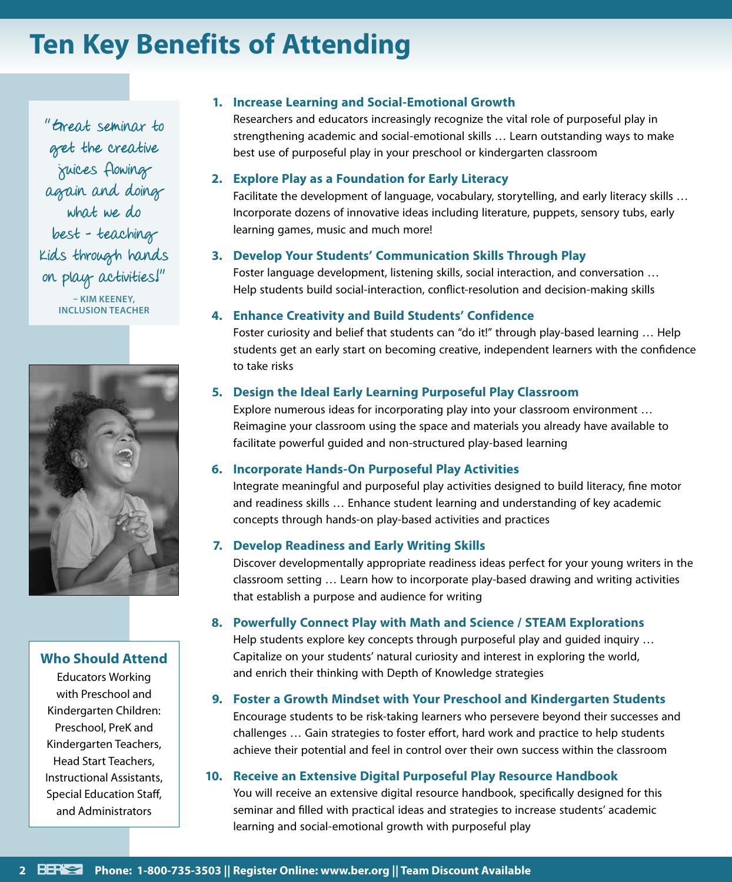# **Ten Key Benefits of Attending**

"Great seminar to get the creative juices flowing again and doing what we do best – teaching kids through hands on play activities!" **– KIM KEENEY, INCLUSION TEACHER**



## **Who Should Attend**

Educators Working with Preschool and Kindergarten Children: Preschool, PreK and Kindergarten Teachers, Head Start Teachers, Instructional Assistants, Special Education Staff, and Administrators

## **1. Increase Learning and Social-Emotional Growth**

Researchers and educators increasingly recognize the vital role of purposeful play in strengthening academic and social-emotional skills … Learn outstanding ways to make best use of purposeful play in your preschool or kindergarten classroom

#### **2. Explore Play as a Foundation for Early Literacy**

Facilitate the development of language, vocabulary, storytelling, and early literacy skills … Incorporate dozens of innovative ideas including literature, puppets, sensory tubs, early learning games, music and much more!

## **3. Develop Your Students' Communication Skills Through Play**

Foster language development, listening skills, social interaction, and conversation … Help students build social-interaction, conflict-resolution and decision-making skills

#### **4. Enhance Creativity and Build Students' Confidence**

Foster curiosity and belief that students can "do it!" through play-based learning ... Help students get an early start on becoming creative, independent learners with the confidence to take risks

## **5. Design the Ideal Early Learning Purposeful Play Classroom**

Explore numerous ideas for incorporating play into your classroom environment … Reimagine your classroom using the space and materials you already have available to facilitate powerful guided and non-structured play-based learning

## **6. Incorporate Hands-On Purposeful Play Activities**

Integrate meaningful and purposeful play activities designed to build literacy, fine motor and readiness skills … Enhance student learning and understanding of key academic concepts through hands-on play-based activities and practices

## **7. Develop Readiness and Early Writing Skills**

Discover developmentally appropriate readiness ideas perfect for your young writers in the classroom setting … Learn how to incorporate play-based drawing and writing activities that establish a purpose and audience for writing

## **8. Powerfully Connect Play with Math and Science / STEAM Explorations**

Help students explore key concepts through purposeful play and guided inquiry … Capitalize on your students' natural curiosity and interest in exploring the world, and enrich their thinking with Depth of Knowledge strategies

## **9. Foster a Growth Mindset with Your Preschool and Kindergarten Students**

Encourage students to be risk-taking learners who persevere beyond their successes and challenges … Gain strategies to foster effort, hard work and practice to help students achieve their potential and feel in control over their own success within the classroom

#### **10. Receive an Extensive Digital Purposeful Play Resource Handbook**

You will receive an extensive digital resource handbook, specifically designed for this seminar and filled with practical ideas and strategies to increase students' academic learning and social-emotional growth with purposeful play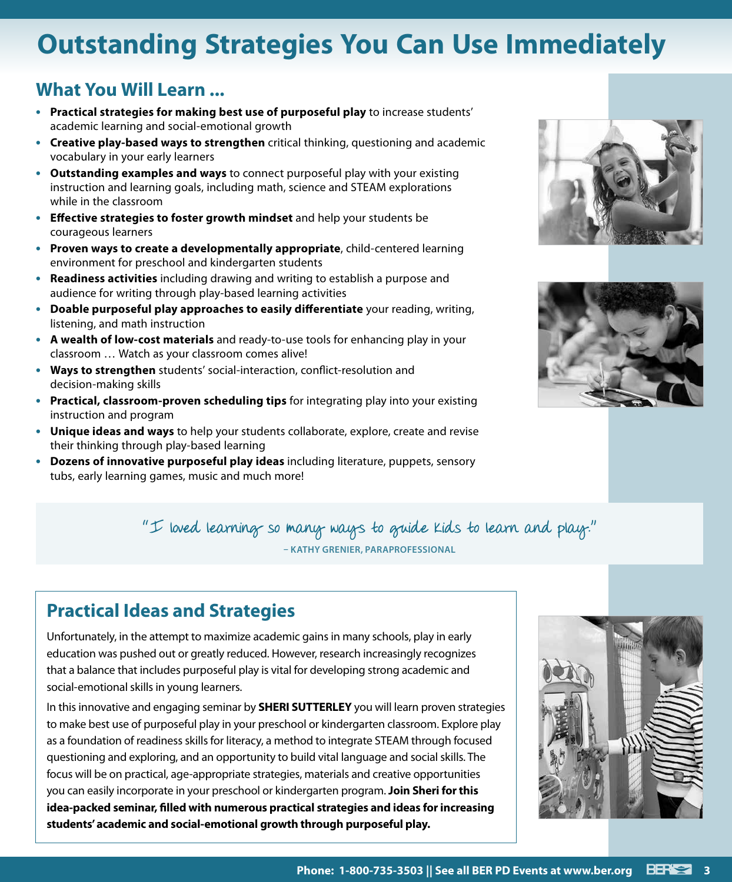# **Outstanding Strategies You Can Use Immediately**

# **What You Will Learn ...**

- **• Practical strategies for making best use of purposeful play** to increase students' academic learning and social-emotional growth
- **• Creative play-based ways to strengthen** critical thinking, questioning and academic vocabulary in your early learners
- **• Outstanding examples and ways** to connect purposeful play with your existing instruction and learning goals, including math, science and STEAM explorations while in the classroom
- **• Effective strategies to foster growth mindset** and help your students be courageous learners
- **• Proven ways to create a developmentally appropriate**, child-centered learning environment for preschool and kindergarten students
- **• Readiness activities** including drawing and writing to establish a purpose and audience for writing through play-based learning activities
- **• Doable purposeful play approaches to easily differentiate** your reading, writing, listening, and math instruction
- **• A wealth of low-cost materials** and ready-to-use tools for enhancing play in your classroom … Watch as your classroom comes alive!
- **• Ways to strengthen** students' social-interaction, conflict-resolution and decision-making skills
- **• Practical, classroom-proven scheduling tips** for integrating play into your existing instruction and program
- **• Unique ideas and ways** to help your students collaborate, explore, create and revise their thinking through play-based learning
- **• Dozens of innovative purposeful play ideas** including literature, puppets, sensory tubs, early learning games, music and much more!





# "I loved learning so many ways to guide kids to learn and play." **– KATHY GRENIER, PARAPROFESSIONAL**

# **Practical Ideas and Strategies**

Unfortunately, in the attempt to maximize academic gains in many schools, play in early education was pushed out or greatly reduced. However, research increasingly recognizes that a balance that includes purposeful play is vital for developing strong academic and social-emotional skills in young learners.

In this innovative and engaging seminar by **SHERI SUTTERLEY** you will learn proven strategies to make best use of purposeful play in your preschool or kindergarten classroom. Explore play as a foundation of readiness skills for literacy, a method to integrate STEAM through focused questioning and exploring, and an opportunity to build vital language and social skills. The focus will be on practical, age-appropriate strategies, materials and creative opportunities you can easily incorporate in your preschool or kindergarten program. **Join Sheri for this idea-packed seminar, filled with numerous practical strategies and ideas for increasing students' academic and social-emotional growth through purposeful play.**

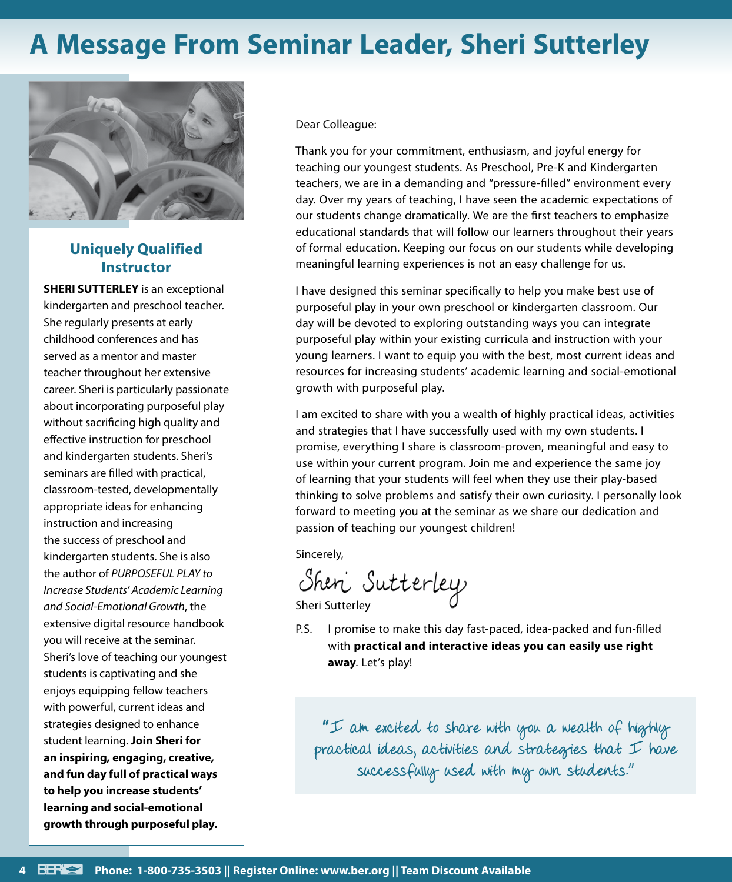# **A Message From Seminar Leader, Sheri Sutterley**



# **Uniquely Qualified Instructor**

**SHERI SUTTERLEY** is an exceptional kindergarten and preschool teacher. She regularly presents at early childhood conferences and has served as a mentor and master teacher throughout her extensive career. Sheri is particularly passionate about incorporating purposeful play without sacrificing high quality and effective instruction for preschool and kindergarten students. Sheri's seminars are filled with practical, classroom-tested, developmentally appropriate ideas for enhancing instruction and increasing the success of preschool and kindergarten students. She is also the author of *PURPOSEFUL PLAY to Increase Students' Academic Learning and Social-Emotional Growth*, the extensive digital resource handbook you will receive at the seminar. Sheri's love of teaching our youngest students is captivating and she enjoys equipping fellow teachers with powerful, current ideas and strategies designed to enhance student learning. **Join Sheri for an inspiring, engaging, creative, and fun day full of practical ways to help you increase students' learning and social-emotional growth through purposeful play.**

Dear Colleague:

Thank you for your commitment, enthusiasm, and joyful energy for teaching our youngest students. As Preschool, Pre-K and Kindergarten teachers, we are in a demanding and "pressure-filled" environment every day. Over my years of teaching, I have seen the academic expectations of our students change dramatically. We are the first teachers to emphasize educational standards that will follow our learners throughout their years of formal education. Keeping our focus on our students while developing meaningful learning experiences is not an easy challenge for us.

I have designed this seminar specifically to help you make best use of purposeful play in your own preschool or kindergarten classroom. Our day will be devoted to exploring outstanding ways you can integrate purposeful play within your existing curricula and instruction with your young learners. I want to equip you with the best, most current ideas and resources for increasing students' academic learning and social-emotional growth with purposeful play.

I am excited to share with you a wealth of highly practical ideas, activities and strategies that I have successfully used with my own students. I promise, everything I share is classroom-proven, meaningful and easy to use within your current program. Join me and experience the same joy of learning that your students will feel when they use their play-based thinking to solve problems and satisfy their own curiosity. I personally look forward to meeting you at the seminar as we share our dedication and passion of teaching our youngest children!

Sincerely,

Shen Sutterley<br>Sheri Sutterley

P.S. I promise to make this day fast-paced, idea-packed and fun-filled with **practical and interactive ideas you can easily use right away**. Let's play!

"I am excited to share with you a wealth of highly practical ideas, activities and strategies that  ${\mathcal I}$  have successfully used with my own students."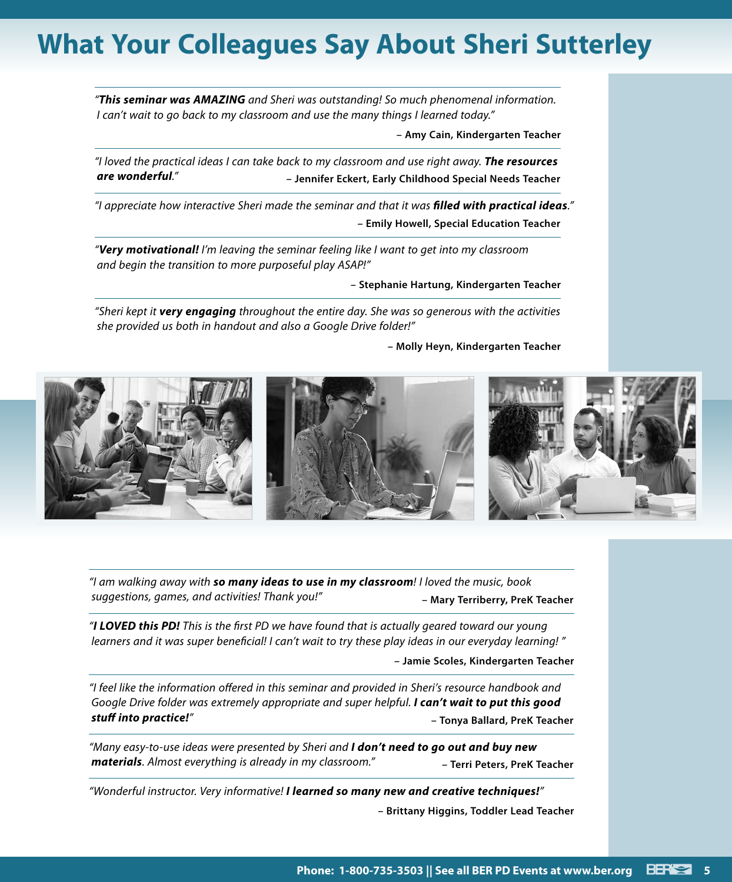# **What Your Colleagues Say About Sheri Sutterley**

*"This seminar was AMAZING and Sheri was outstanding! So much phenomenal information. I can't wait to go back to my classroom and use the many things I learned today."* 

**– Amy Cain, Kindergarten Teacher**

*"I loved the practical ideas I can take back to my classroom and use right away. The resources are wonderful."* **– Jennifer Eckert, Early Childhood Special Needs Teacher**

*"I appreciate how interactive Sheri made the seminar and that it was filled with practical ideas."* **– Emily Howell, Special Education Teacher**

*"Very motivational! I'm leaving the seminar feeling like I want to get into my classroom and begin the transition to more purposeful play ASAP!"*

**– Stephanie Hartung, Kindergarten Teacher**

*"Sheri kept it very engaging throughout the entire day. She was so generous with the activities she provided us both in handout and also a Google Drive folder!"*

**– Molly Heyn, Kindergarten Teacher**



*"I am walking away with so many ideas to use in my classroom! I loved the music, book suggestions, games, and activities! Thank you!"* **– Mary Terriberry, PreK Teacher**

*"I LOVED this PD! This is the first PD we have found that is actually geared toward our young learners and it was super beneficial! I can't wait to try these play ideas in our everyday learning! "*

**– Jamie Scoles, Kindergarten Teacher**

*"I feel like the information offered in this seminar and provided in Sheri's resource handbook and Google Drive folder was extremely appropriate and super helpful. I can't wait to put this good stuff into practice!"* **– Tonya Ballard, PreK Teacher**

*"Many easy-to-use ideas were presented by Sheri and I don't need to go out and buy new materials. Almost everything is already in my classroom."* **– Terri Peters, PreK Teacher**

*"Wonderful instructor. Very informative! I learned so many new and creative techniques!"* **– Brittany Higgins, Toddler Lead Teacher**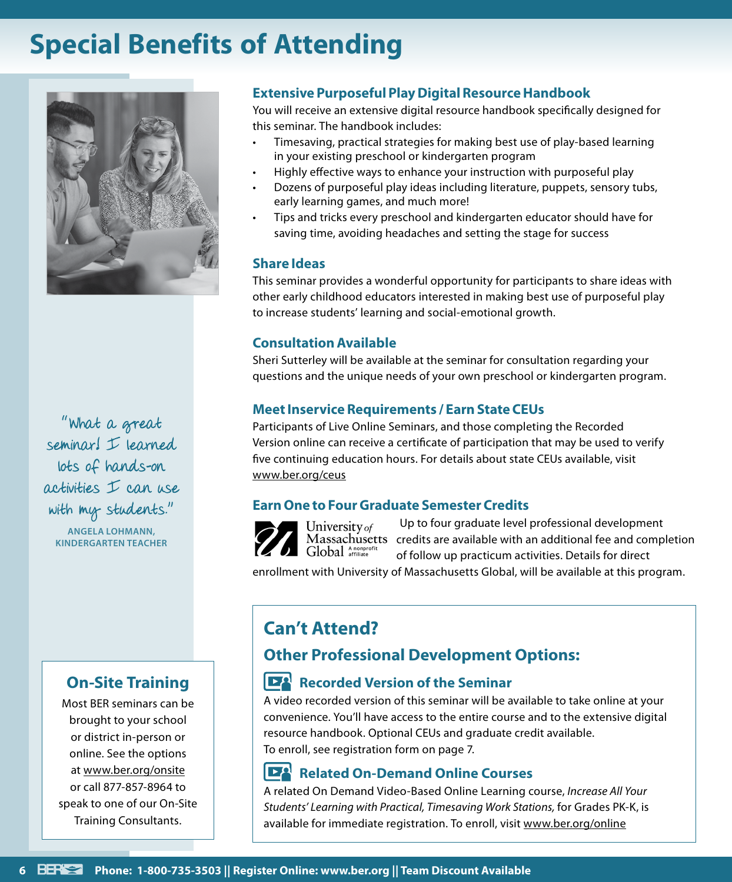# **Special Benefits of Attending**



"What a great seminar! I learned lots of hands-on activities I can use with my students."

**ANGELA LOHMANN, KINDERGARTEN TEACHER**

# **On-Site Training**

Most BER seminars can be brought to your school or district in-person or online. See the options at www.ber.org/onsite or call 877-857-8964 to speak to one of our On-Site Training Consultants.

# **Extensive Purposeful Play Digital Resource Handbook**

You will receive an extensive digital resource handbook specifically designed for this seminar. The handbook includes:

- Timesaving, practical strategies for making best use of play-based learning in your existing preschool or kindergarten program
- Highly effective ways to enhance your instruction with purposeful play
- Dozens of purposeful play ideas including literature, puppets, sensory tubs, early learning games, and much more!
- Tips and tricks every preschool and kindergarten educator should have for saving time, avoiding headaches and setting the stage for success

## **Share Ideas**

This seminar provides a wonderful opportunity for participants to share ideas with other early childhood educators interested in making best use of purposeful play to increase students' learning and social-emotional growth.

## **Consultation Available**

Sheri Sutterley will be available at the seminar for consultation regarding your questions and the unique needs of your own preschool or kindergarten program.

## **Meet Inservice Requirements / Earn State CEUs**

Participants of Live Online Seminars, and those completing the Recorded Version online can receive a certificate of participation that may be used to verify five continuing education hours. For details about state CEUs available, visit www.ber.org/ceus

# **Earn One to Four Graduate Semester Credits**



Up to four graduate level professional development Massachusetts credits are available with an additional fee and completion of follow up practicum activities. Details for direct

enrollment with University of Massachusetts Global, will be available at this program.

# **Can't Attend?**

University of

# **Other Professional Development Options:**

# **Recorded Version of the Seminar**

A video recorded version of this seminar will be available to take online at your convenience. You'll have access to the entire course and to the extensive digital resource handbook. Optional CEUs and graduate credit available. To enroll, see registration form on page 7.

# **Related On-Demand Online Courses**

A related On Demand Video-Based Online Learning course, *Increase All Your Students' Learning with Practical, Timesaving Work Stations,* for Grades PK-K, is available for immediate registration. To enroll, visit www.ber.org/online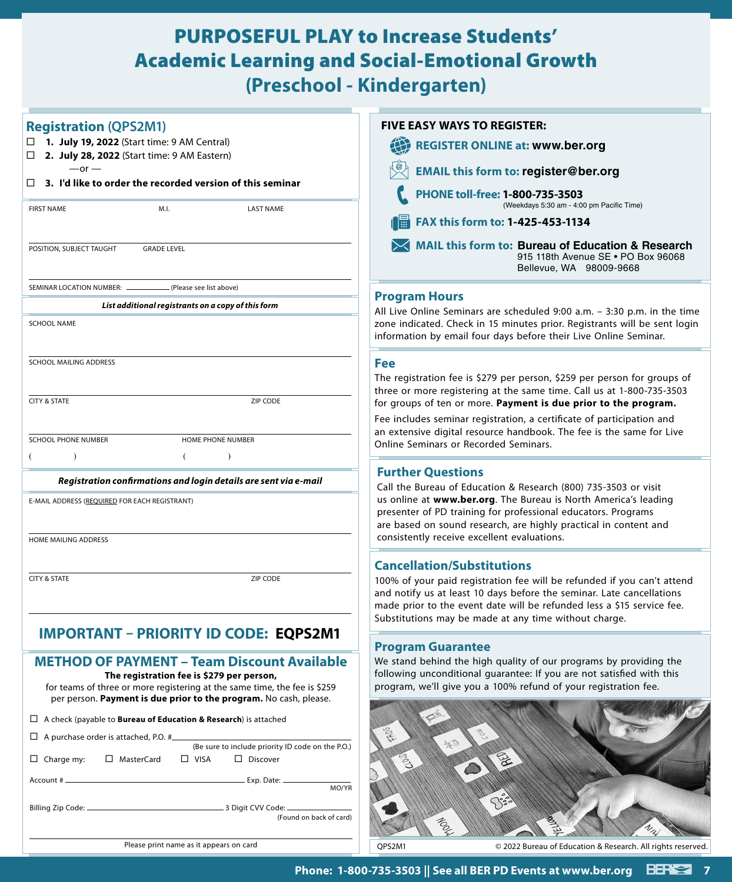# PURPOSEFUL PLAY to Increase Students' Academic Learning and Social-Emotional Growth **(Preschool - Kindergarten)**

| <b>Registration (QPS2M1)</b><br>□ 1. July 19, 2022 (Start time: 9 AM Central)                                                                                                                                                                     | <b>FIVE EASY WAYS TO REGISTER:</b><br><b>REGISTER ONLINE at: www.ber.org</b>                                                                                                                                                                                                                                             |
|---------------------------------------------------------------------------------------------------------------------------------------------------------------------------------------------------------------------------------------------------|--------------------------------------------------------------------------------------------------------------------------------------------------------------------------------------------------------------------------------------------------------------------------------------------------------------------------|
| 2. July 28, 2022 (Start time: 9 AM Eastern)<br>□                                                                                                                                                                                                  | 我                                                                                                                                                                                                                                                                                                                        |
| $-or -$<br>$\Box$ 3. I'd like to order the recorded version of this seminar                                                                                                                                                                       | <b>EMAIL this form to: register@ber.org</b>                                                                                                                                                                                                                                                                              |
| <b>FIRST NAME</b><br><b>LAST NAME</b><br>M.I.                                                                                                                                                                                                     | PHONE toll-free: 1-800-735-3503<br>(Weekdays 5:30 am - 4:00 pm Pacific Time)                                                                                                                                                                                                                                             |
|                                                                                                                                                                                                                                                   | FAX this form to: 1-425-453-1134                                                                                                                                                                                                                                                                                         |
| POSITION, SUBJECT TAUGHT<br><b>GRADE LEVEL</b>                                                                                                                                                                                                    | MAIL this form to: Bureau of Education & Research<br>915 118th Avenue SE . PO Box 96068<br>Bellevue, WA 98009-9668                                                                                                                                                                                                       |
| SEMINAR LOCATION NUMBER:<br>(Please see list above)                                                                                                                                                                                               |                                                                                                                                                                                                                                                                                                                          |
| List additional registrants on a copy of this form                                                                                                                                                                                                | <b>Program Hours</b><br>All Live Online Seminars are scheduled 9:00 a.m. - 3:30 p.m. in the time                                                                                                                                                                                                                         |
| <b>SCHOOL NAME</b>                                                                                                                                                                                                                                | zone indicated. Check in 15 minutes prior. Registrants will be sent login<br>information by email four days before their Live Online Seminar.                                                                                                                                                                            |
| SCHOOL MAILING ADDRESS                                                                                                                                                                                                                            | Fee                                                                                                                                                                                                                                                                                                                      |
| <b>CITY &amp; STATE</b><br>ZIP CODE                                                                                                                                                                                                               | The registration fee is \$279 per person, \$259 per person for groups of<br>three or more registering at the same time. Call us at 1-800-735-3503<br>for groups of ten or more. Payment is due prior to the program.                                                                                                     |
|                                                                                                                                                                                                                                                   | Fee includes seminar registration, a certificate of participation and                                                                                                                                                                                                                                                    |
| <b>SCHOOL PHONE NUMBER</b><br>HOME PHONE NUMBER                                                                                                                                                                                                   | an extensive digital resource handbook. The fee is the same for Live<br>Online Seminars or Recorded Seminars.                                                                                                                                                                                                            |
| $\lambda$<br>$\lambda$                                                                                                                                                                                                                            |                                                                                                                                                                                                                                                                                                                          |
| Registration confirmations and login details are sent via e-mail                                                                                                                                                                                  | <b>Further Questions</b><br>Call the Bureau of Education & Research (800) 735-3503 or visit                                                                                                                                                                                                                              |
| E-MAIL ADDRESS (REQUIRED FOR EACH REGISTRANT)                                                                                                                                                                                                     | us online at www.ber.org. The Bureau is North America's leading<br>presenter of PD training for professional educators. Programs<br>are based on sound research, are highly practical in content and                                                                                                                     |
| HOME MAILING ADDRESS                                                                                                                                                                                                                              | consistently receive excellent evaluations.                                                                                                                                                                                                                                                                              |
| ZIP CODE<br><b>CITY &amp; STATE</b>                                                                                                                                                                                                               | <b>Cancellation/Substitutions</b><br>100% of your paid registration fee will be refunded if you can't attend<br>and notify us at least 10 days before the seminar. Late cancellations<br>made prior to the event date will be refunded less a \$15 service fee.<br>Substitutions may be made at any time without charge. |
| IMPORTANT – PRIORITY ID CODE: EQPS2M1                                                                                                                                                                                                             |                                                                                                                                                                                                                                                                                                                          |
| <b>METHOD OF PAYMENT - Team Discount Available</b><br>The registration fee is \$279 per person,<br>for teams of three or more registering at the same time, the fee is \$259<br>per person. Payment is due prior to the program. No cash, please. | <b>Program Guarantee</b><br>We stand behind the high quality of our programs by providing the<br>following unconditional quarantee: If you are not satisfied with this<br>program, we'll give you a 100% refund of your registration fee.                                                                                |
|                                                                                                                                                                                                                                                   |                                                                                                                                                                                                                                                                                                                          |
| $\Box$ A check (payable to <b>Bureau of Education &amp; Research</b> ) is attached                                                                                                                                                                | $\frac{1}{2}$                                                                                                                                                                                                                                                                                                            |
| $\Box$ A purchase order is attached, P.O. # $\Box$<br>(Be sure to include priority ID code on the P.O.)                                                                                                                                           |                                                                                                                                                                                                                                                                                                                          |
| □ MasterCard<br>$\Box$ VISA<br>$\Box$ Discover<br>$\Box$ Charge my:                                                                                                                                                                               |                                                                                                                                                                                                                                                                                                                          |
| MO/YR                                                                                                                                                                                                                                             |                                                                                                                                                                                                                                                                                                                          |
| (Found on back of card)                                                                                                                                                                                                                           | Mar                                                                                                                                                                                                                                                                                                                      |
| Please print name as it appears on card                                                                                                                                                                                                           | © 2022 Bureau of Education & Research. All rights reserved.<br>QPS2M1                                                                                                                                                                                                                                                    |